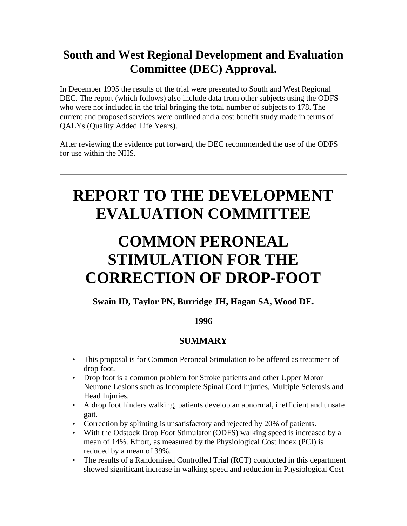# **South and West Regional Development and Evaluation Committee (DEC) Approval.**

In December 1995 the results of the trial were presented to South and West Regional DEC. The report (which follows) also include data from other subjects using the ODFS who were not included in the trial bringing the total number of subjects to 178. The current and proposed services were outlined and a cost benefit study made in terms of QALYs (Quality Added Life Years).

After reviewing the evidence put forward, the DEC recommended the use of the ODFS for use within the NHS.

# **REPORT TO THE DEVELOPMENT EVALUATION COMMITTEE**

# **COMMON PERONEAL STIMULATION FOR THE CORRECTION OF DROP-FOOT**

### **Swain ID, Taylor PN, Burridge JH, Hagan SA, Wood DE.**

### **1996**

## **SUMMARY**

- This proposal is for Common Peroneal Stimulation to be offered as treatment of drop foot.
- Drop foot is a common problem for Stroke patients and other Upper Motor Neurone Lesions such as Incomplete Spinal Cord Injuries, Multiple Sclerosis and Head Injuries.
- A drop foot hinders walking, patients develop an abnormal, inefficient and unsafe gait.
- Correction by splinting is unsatisfactory and rejected by 20% of patients.
- With the Odstock Drop Foot Stimulator (ODFS) walking speed is increased by a mean of 14%. Effort, as measured by the Physiological Cost Index (PCI) is reduced by a mean of 39%.
- The results of a Randomised Controlled Trial (RCT) conducted in this department showed significant increase in walking speed and reduction in Physiological Cost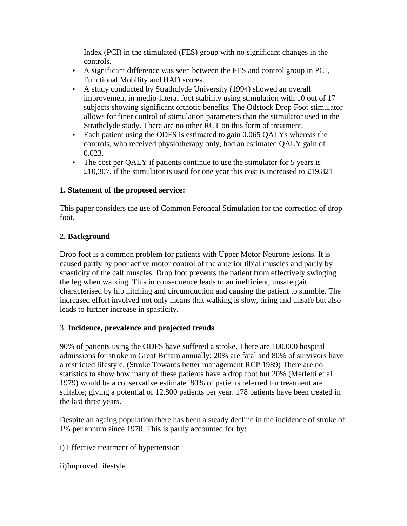Index (PCI) in the stimulated (FES) group with no significant changes in the controls.

- A significant difference was seen between the FES and control group in PCI, Functional Mobility and HAD scores.
- A study conducted by Strathclyde University (1994) showed an overall improvement in medio-lateral foot stability using stimulation with 10 out of 17 subjects showing significant orthotic benefits. The Odstock Drop Foot stimulator allows for finer control of stimulation parameters than the stimulator used in the Strathclyde study. There are no other RCT on this form of treatment.
- Each patient using the ODFS is estimated to gain 0.065 OALYs whereas the controls, who received physiotherapy only, had an estimated QALY gain of 0.023.
- The cost per QALY if patients continue to use the stimulator for 5 years is £10,307, if the stimulator is used for one year this cost is increased to £19,821

#### **1. Statement of the proposed service:**

This paper considers the use of Common Peroneal Stimulation for the correction of drop foot.

#### **2. Background**

Drop foot is a common problem for patients with Upper Motor Neurone lesions. It is caused partly by poor active motor control of the anterior tibial muscles and partly by spasticity of the calf muscles. Drop foot prevents the patient from effectively swinging the leg when walking. This in consequence leads to an inefficient, unsafe gait characterised by hip hitching and circumduction and causing the patient to stumble. The increased effort involved not only means that walking is slow, tiring and unsafe but also leads to further increase in spasticity.

#### 3. **Incidence, prevalence and projected trends**

90% of patients using the ODFS have suffered a stroke. There are 100,000 hospital admissions for stroke in Great Britain annually; 20% are fatal and 80% of survivors have a restricted lifestyle. (Stroke Towards better management RCP 1989) There are no statistics to show how many of these patients have a drop foot but 20% (Merletti et al 1979) would be a conservative estimate. 80% of patients referred for treatment are suitable; giving a potential of 12,800 patients per year. 178 patients have been treated in the last three years.

Despite an ageing population there has been a steady decline in the incidence of stroke of 1% per annum since 1970. This is partly accounted for by:

i) Effective treatment of hypertension

ii)Improved lifestyle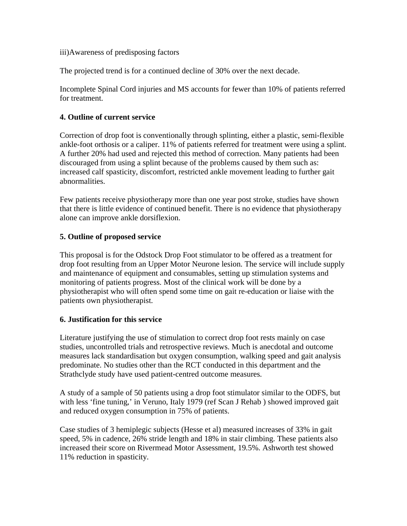iii)Awareness of predisposing factors

The projected trend is for a continued decline of 30% over the next decade.

Incomplete Spinal Cord injuries and MS accounts for fewer than 10% of patients referred for treatment.

#### **4. Outline of current service**

Correction of drop foot is conventionally through splinting, either a plastic, semi-flexible ankle-foot orthosis or a caliper. 11% of patients referred for treatment were using a splint. A further 20% had used and rejected this method of correction. Many patients had been discouraged from using a splint because of the problems caused by them such as: increased calf spasticity, discomfort, restricted ankle movement leading to further gait abnormalities.

Few patients receive physiotherapy more than one year post stroke, studies have shown that there is little evidence of continued benefit. There is no evidence that physiotherapy alone can improve ankle dorsiflexion.

#### **5. Outline of proposed service**

This proposal is for the Odstock Drop Foot stimulator to be offered as a treatment for drop foot resulting from an Upper Motor Neurone lesion. The service will include supply and maintenance of equipment and consumables, setting up stimulation systems and monitoring of patients progress. Most of the clinical work will be done by a physiotherapist who will often spend some time on gait re-education or liaise with the patients own physiotherapist.

#### **6. Justification for this service**

Literature justifying the use of stimulation to correct drop foot rests mainly on case studies, uncontrolled trials and retrospective reviews. Much is anecdotal and outcome measures lack standardisation but oxygen consumption, walking speed and gait analysis predominate. No studies other than the RCT conducted in this department and the Strathclyde study have used patient-centred outcome measures.

A study of a sample of 50 patients using a drop foot stimulator similar to the ODFS, but with less 'fine tuning,' in Veruno, Italy 1979 (ref Scan J Rehab ) showed improved gait and reduced oxygen consumption in 75% of patients.

Case studies of 3 hemiplegic subjects (Hesse et al) measured increases of 33% in gait speed, 5% in cadence, 26% stride length and 18% in stair climbing. These patients also increased their score on Rivermead Motor Assessment, 19.5%. Ashworth test showed 11% reduction in spasticity.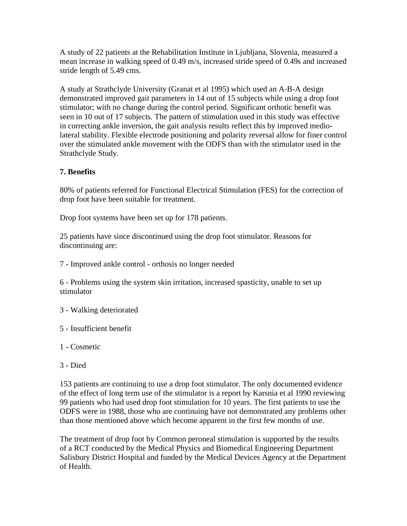A study of 22 patients at the Rehabilitation Institute in Ljubljana, Slovenia, measured a mean increase in walking speed of 0.49 m/s, increased stride speed of 0.49s and increased stride length of 5.49 cms.

A study at Strathclyde University (Granat et al 1995) which used an A-B-A design demonstrated improved gait parameters in 14 out of 15 subjects while using a drop foot stimulator; with no change during the control period. Significant orthotic benefit was seen in 10 out of 17 subjects. The pattern of stimulation used in this study was effective in correcting ankle inversion, the gait analysis results reflect this by improved mediolateral stability. Flexible electrode positioning and polarity reversal allow for finer control over the stimulated ankle movement with the ODFS than with the stimulator used in the Strathclyde Study.

#### **7. Benefits**

80% of patients referred for Functional Electrical Stimulation (FES) for the correction of drop foot have been suitable for treatment.

Drop foot systems have been set up for 178 patients.

25 patients have since discontinued using the drop foot stimulator. Reasons for discontinuing are:

7 - Improved ankle control - orthosis no longer needed

6 - Problems using the system skin irritation, increased spasticity, unable to set up stimulator

- 3 Walking deteriorated
- 5 Insufficient benefit
- 1 Cosmetic
- 3 Died

153 patients are continuing to use a drop foot stimulator. The only documented evidence of the effect of long term use of the stimulator is a report by Karsnia et al 1990 reviewing 99 patients who had used drop foot stimulation for 10 years. The first patients to use the ODFS were in 1988, those who are continuing have not demonstrated any problems other than those mentioned above which become apparent in the first few months of use.

The treatment of drop foot by Common peroneal stimulation is supported by the results of a RCT conducted by the Medical Physics and Biomedical Engineering Department Salisbury District Hospital and funded by the Medical Devices Agency at the Department of Health.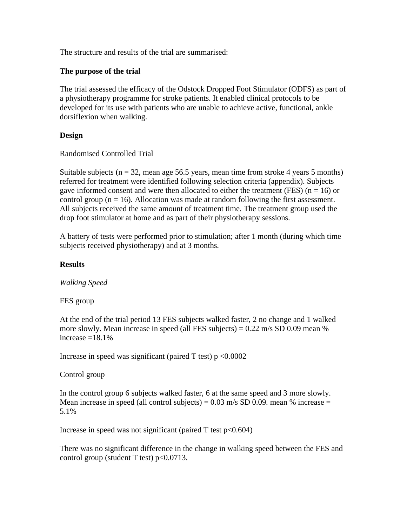The structure and results of the trial are summarised:

#### **The purpose of the trial**

The trial assessed the efficacy of the Odstock Dropped Foot Stimulator (ODFS) as part of a physiotherapy programme for stroke patients. It enabled clinical protocols to be developed for its use with patients who are unable to achieve active, functional, ankle dorsiflexion when walking.

#### **Design**

Randomised Controlled Trial

Suitable subjects ( $n = 32$ , mean age 56.5 years, mean time from stroke 4 years 5 months) referred for treatment were identified following selection criteria (appendix). Subjects gave informed consent and were then allocated to either the treatment (FES) ( $n = 16$ ) or control group ( $n = 16$ ). Allocation was made at random following the first assessment. All subjects received the same amount of treatment time. The treatment group used the drop foot stimulator at home and as part of their physiotherapy sessions.

A battery of tests were performed prior to stimulation; after 1 month (during which time subjects received physiotherapy) and at 3 months.

#### **Results**

*Walking Speed*

FES group

At the end of the trial period 13 FES subjects walked faster, 2 no change and 1 walked more slowly. Mean increase in speed (all FES subjects) =  $0.22$  m/s SD 0.09 mean % increase  $=18.1%$ 

Increase in speed was significant (paired  $T$  test)  $p \le 0.0002$ 

Control group

In the control group 6 subjects walked faster, 6 at the same speed and 3 more slowly. Mean increase in speed (all control subjects) =  $0.03$  m/s SD 0.09. mean % increase = 5.1%

Increase in speed was not significant (paired  $T$  test  $p<0.604$ )

There was no significant difference in the change in walking speed between the FES and control group (student T test)  $p < 0.0713$ .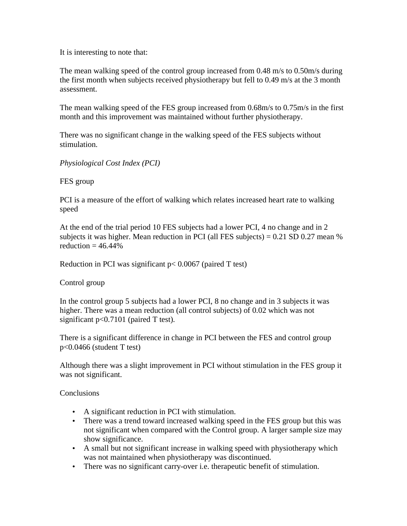It is interesting to note that:

The mean walking speed of the control group increased from 0.48 m/s to 0.50m/s during the first month when subjects received physiotherapy but fell to 0.49 m/s at the 3 month assessment.

The mean walking speed of the FES group increased from 0.68m/s to 0.75m/s in the first month and this improvement was maintained without further physiotherapy.

There was no significant change in the walking speed of the FES subjects without stimulation.

*Physiological Cost Index (PCI)*

FES group

PCI is a measure of the effort of walking which relates increased heart rate to walking speed

At the end of the trial period 10 FES subjects had a lower PCI, 4 no change and in 2 subjects it was higher. Mean reduction in PCI (all FES subjects) =  $0.21$  SD  $0.27$  mean % reduction  $= 46.44\%$ 

Reduction in PCI was significant  $p < 0.0067$  (paired T test)

Control group

In the control group 5 subjects had a lower PCI, 8 no change and in 3 subjects it was higher. There was a mean reduction (all control subjects) of 0.02 which was not significant  $p<0.7101$  (paired T test).

There is a significant difference in change in PCI between the FES and control group p<0.0466 (student T test)

Although there was a slight improvement in PCI without stimulation in the FES group it was not significant.

**Conclusions** 

- A significant reduction in PCI with stimulation.
- There was a trend toward increased walking speed in the FES group but this was not significant when compared with the Control group. A larger sample size may show significance.
- A small but not significant increase in walking speed with physiotherapy which was not maintained when physiotherapy was discontinued.
- There was no significant carry-over i.e. therapeutic benefit of stimulation.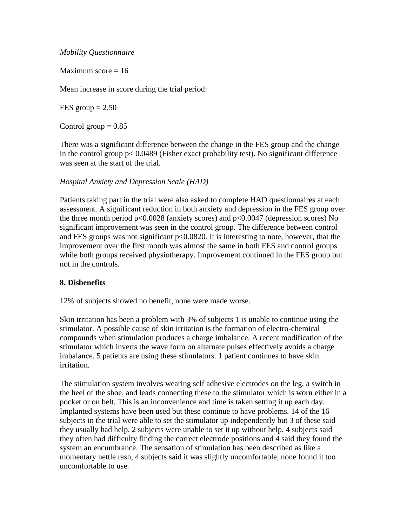#### *Mobility Questionnaire*

Maximum score  $= 16$ 

Mean increase in score during the trial period:

FES group  $= 2.50$ 

Control group  $= 0.85$ 

There was a significant difference between the change in the FES group and the change in the control group p< 0.0489 (Fisher exact probability test). No significant difference was seen at the start of the trial.

#### *Hospital Anxiety and Depression Scale (HAD)*

Patients taking part in the trial were also asked to complete HAD questionnaires at each assessment. A significant reduction in both anxiety and depression in the FES group over the three month period p<0.0028 (anxiety scores) and p<0.0047 (depression scores) No significant improvement was seen in the control group. The difference between control and FES groups was not significant p<0.0820. It is interesting to note, however, that the improvement over the first month was almost the same in both FES and control groups while both groups received physiotherapy. Improvement continued in the FES group but not in the controls.

#### **8. Disbenefits**

12% of subjects showed no benefit, none were made worse.

Skin irritation has been a problem with 3% of subjects 1 is unable to continue using the stimulator. A possible cause of skin irritation is the formation of electro-chemical compounds when stimulation produces a charge imbalance. A recent modification of the stimulator which inverts the wave form on alternate pulses effectively avoids a charge imbalance. 5 patients are using these stimulators. 1 patient continues to have skin irritation.

The stimulation system involves wearing self adhesive electrodes on the leg, a switch in the heel of the shoe, and leads connecting these to the stimulator which is worn either in a pocket or on belt. This is an inconvenience and time is taken setting it up each day. Implanted systems have been used but these continue to have problems. 14 of the 16 subjects in the trial were able to set the stimulator up independently but 3 of these said they usually had help. 2 subjects were unable to set it up without help. 4 subjects said they often had difficulty finding the correct electrode positions and 4 said they found the system an encumbrance. The sensation of stimulation has been described as like a momentary nettle rash, 4 subjects said it was slightly uncomfortable, none found it too uncomfortable to use.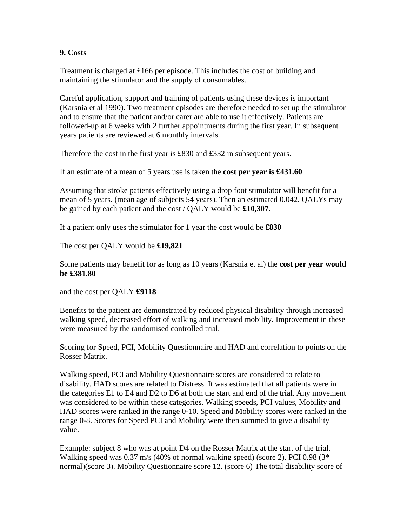#### **9. Costs**

Treatment is charged at £166 per episode. This includes the cost of building and maintaining the stimulator and the supply of consumables.

Careful application, support and training of patients using these devices is important (Karsnia et al 1990). Two treatment episodes are therefore needed to set up the stimulator and to ensure that the patient and/or carer are able to use it effectively. Patients are followed-up at 6 weeks with 2 further appointments during the first year. In subsequent years patients are reviewed at 6 monthly intervals.

Therefore the cost in the first year is £830 and £332 in subsequent years.

If an estimate of a mean of 5 years use is taken the **cost per year is £431.60**

Assuming that stroke patients effectively using a drop foot stimulator will benefit for a mean of 5 years. (mean age of subjects 54 years). Then an estimated 0.042. QALYs may be gained by each patient and the cost / QALY would be **£10,307**.

If a patient only uses the stimulator for 1 year the cost would be **£830**

The cost per QALY would be **£19,821**

Some patients may benefit for as long as 10 years (Karsnia et al) the **cost per year would be £381.80**

and the cost per QALY **£9118** 

Benefits to the patient are demonstrated by reduced physical disability through increased walking speed, decreased effort of walking and increased mobility. Improvement in these were measured by the randomised controlled trial.

Scoring for Speed, PCI, Mobility Questionnaire and HAD and correlation to points on the Rosser Matrix.

Walking speed, PCI and Mobility Questionnaire scores are considered to relate to disability. HAD scores are related to Distress. It was estimated that all patients were in the categories E1 to E4 and D2 to D6 at both the start and end of the trial. Any movement was considered to be within these categories. Walking speeds, PCI values, Mobility and HAD scores were ranked in the range 0-10. Speed and Mobility scores were ranked in the range 0-8. Scores for Speed PCI and Mobility were then summed to give a disability value.

Example: subject 8 who was at point D4 on the Rosser Matrix at the start of the trial. Walking speed was 0.37 m/s (40% of normal walking speed) (score 2). PCI 0.98 (3\* normal)(score 3). Mobility Questionnaire score 12. (score 6) The total disability score of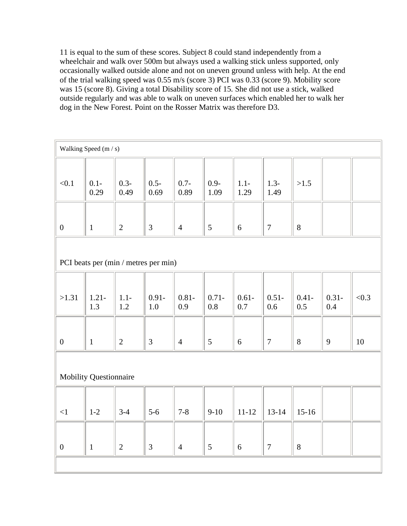11 is equal to the sum of these scores. Subject 8 could stand independently from a wheelchair and walk over 500m but always used a walking stick unless supported, only occasionally walked outside alone and not on uneven ground unless with help. At the end of the trial walking speed was 0.55 m/s (score 3) PCI was 0.33 (score 9). Mobility score was 15 (score 8). Giving a total Disability score of 15. She did not use a stick, walked outside regularly and was able to walk on uneven surfaces which enabled her to walk her dog in the New Forest. Point on the Rosser Matrix was therefore D3.

| Walking Speed (m / s)                |                 |                 |                     |                 |                 |                 |                 |                 |                 |       |
|--------------------------------------|-----------------|-----------------|---------------------|-----------------|-----------------|-----------------|-----------------|-----------------|-----------------|-------|
| < 0.1                                | $0.1 -$<br>0.29 | $0.3 -$<br>0.49 | $0.5 -$<br>0.69     | $0.7 -$<br>0.89 | $0.9 -$<br>1.09 | $1.1 -$<br>1.29 | $1.3-$<br>1.49  | >1.5            |                 |       |
| $\boldsymbol{0}$                     | $\mathbf{1}$    | $\mathbf{2}$    | $\mathfrak{Z}$      | $\overline{4}$  | $\mathfrak{S}$  | 6               | $\tau$          | $8\,$           |                 |       |
| PCI beats per (min / metres per min) |                 |                 |                     |                 |                 |                 |                 |                 |                 |       |
| >1.31                                | $1.21 -$<br>1.3 | $1.1 -$<br>1.2  | $0.91 -$<br>$1.0\,$ | $0.81 -$<br>0.9 | $0.71 -$<br>0.8 | $0.61 -$<br>0.7 | $0.51 -$<br>0.6 | $0.41 -$<br>0.5 | $0.31 -$<br>0.4 | < 0.3 |
| $\boldsymbol{0}$                     | $\mathbf{1}$    | $\mathbf{2}$    | $\mathfrak{Z}$      | $\overline{4}$  | $\mathfrak{S}$  | $6\,$           | $\tau$          | 8               | 9               | 10    |
| <b>Mobility Questionnaire</b>        |                 |                 |                     |                 |                 |                 |                 |                 |                 |       |
| $<1\,$                               | $1-2$           | $3-4$           | $5-6$               | $7 - 8$         | $9 - 10$        | $11 - 12$       | $13 - 14$       | $15-16$         |                 |       |
| $\boldsymbol{0}$                     | $\mathbf{1}$    | $\overline{2}$  | $\mathfrak{Z}$      | $\overline{4}$  | $\mathfrak{S}$  | $6\,$           | $\tau$          | $8\,$           |                 |       |
|                                      |                 |                 |                     |                 |                 |                 |                 |                 |                 |       |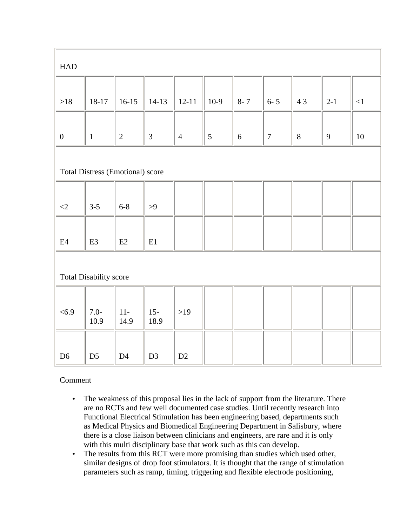| <b>HAD</b>                       |                |                |                |                |                |            |                |       |              |          |
|----------------------------------|----------------|----------------|----------------|----------------|----------------|------------|----------------|-------|--------------|----------|
|                                  |                |                |                |                |                |            |                |       |              |          |
| $>18$                            | 18-17          | $16 - 15$      | $14-13$        | $12 - 11$      | $10-9$         | $8 - 7$    | $6 - 5$        | 43    | $2-1$        | $<\!\!1$ |
|                                  |                |                |                |                |                |            |                |       |              |          |
| $\boldsymbol{0}$                 | $\mathbf{1}$   | $\sqrt{2}$     | $\mathfrak{Z}$ | $\overline{4}$ | $\mathfrak{S}$ | $\sqrt{6}$ | $\overline{7}$ | $8\,$ | $\mathbf{9}$ | $10\,$   |
|                                  |                |                |                |                |                |            |                |       |              |          |
| Total Distress (Emotional) score |                |                |                |                |                |            |                |       |              |          |
|                                  |                |                |                |                |                |            |                |       |              |          |
| $\langle 2$                      | $3-5$          | $6 - 8$        | $>9$           |                |                |            |                |       |              |          |
|                                  |                |                |                |                |                |            |                |       |              |          |
| E4                               | E <sub>3</sub> | E2             | E1             |                |                |            |                |       |              |          |
|                                  |                |                |                |                |                |            |                |       |              |          |
| Total Disability score           |                |                |                |                |                |            |                |       |              |          |
|                                  |                |                |                |                |                |            |                |       |              |          |
| <6.9                             | $7.0-$<br>10.9 | $11-$<br>14.9  | $15 -$<br>18.9 | $>19$          |                |            |                |       |              |          |
|                                  |                |                |                |                |                |            |                |       |              |          |
| D <sub>6</sub>                   | D <sub>5</sub> | D <sub>4</sub> | D <sub>3</sub> | D2             |                |            |                |       |              |          |

#### Comment

- The weakness of this proposal lies in the lack of support from the literature. There are no RCTs and few well documented case studies. Until recently research into Functional Electrical Stimulation has been engineering based, departments such as Medical Physics and Biomedical Engineering Department in Salisbury, where there is a close liaison between clinicians and engineers, are rare and it is only with this multi disciplinary base that work such as this can develop.
- The results from this RCT were more promising than studies which used other, similar designs of drop foot stimulators. It is thought that the range of stimulation parameters such as ramp, timing, triggering and flexible electrode positioning,